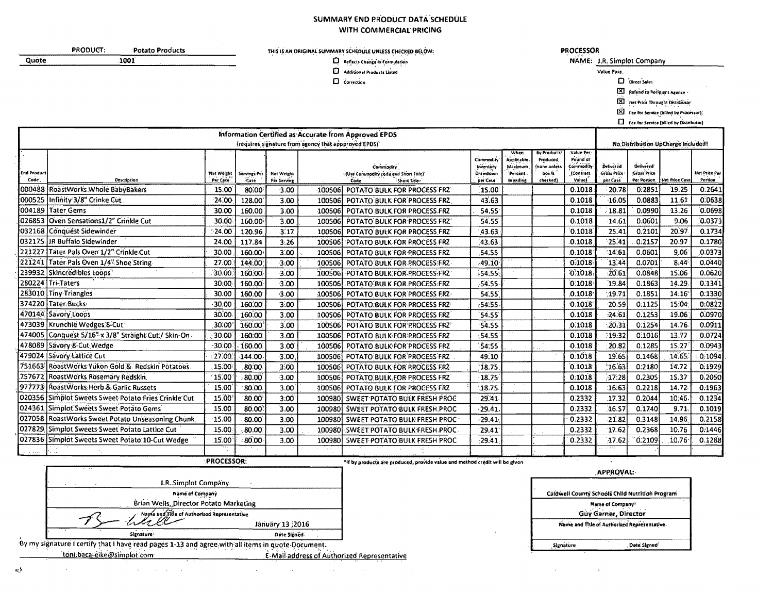# SUMMARY END PRODUCT DATA SCHEDULE WITH COMMERCIAL PRICING

THIS IS AN ORIGINAL SUMMARY SCHEDULE UNLESS CHECKED BELOW:

<sup>D</sup> Correction

Perfects Change in Formulation Additional Products Listed

**PROCESSOR** 

NAME: J.R. Simplot Company

ù. APPROVAL:

Caldwell County Schools Child Nutrition Program Name of Company! Guy Garner, Director Name and Title of Authorized Representative.

 $\ddot{\phantom{0}}$ 

Date Signed

Signature

Value Pass

<sup>C</sup> Oirect Sales

[X] Refund to Recipient Agency

 $[ \overrightarrow{\mathbf{E}} ]$  Het Price Throught Ontribinor

 $\overline{\text{Kl}}$  . Fee for Service (billed by Processor)

E Fee for Service (billed by Distributor)

|                      | Information Certified as Accurate from Approved EPDS |                        |                          |                                  |                                                                           |                                      |                                                |                                                              |                                                                |                                                                 |                                      |                           |                                    |                                 |
|----------------------|------------------------------------------------------|------------------------|--------------------------|----------------------------------|---------------------------------------------------------------------------|--------------------------------------|------------------------------------------------|--------------------------------------------------------------|----------------------------------------------------------------|-----------------------------------------------------------------|--------------------------------------|---------------------------|------------------------------------|---------------------------------|
|                      |                                                      |                        |                          |                                  | (requires signature from agency that appproved EPDS)                      |                                      |                                                |                                                              |                                                                |                                                                 |                                      |                           | No Distribution UpCharge Included! |                                 |
| End Product<br>Code. | Description                                          | Not Weight<br>Per Case | Servings Per<br>$-$ Cate | <b>Net Weight</b><br>Per Serving | Commodity<br>(Use Commodity code and Short Title)<br>Code<br>Short Title: |                                      | Commodity<br>Inventory<br>Drewdown<br>per Case | When<br>Applicable<br>Maximum<br>Percent.<br><b>Brending</b> | By Products'<br>Produced<br>(none unless<br>box is<br>checked) | Value Per-<br>Pound of<br>.<br>Commodity<br>(Contract<br>Valuel | Delivered<br>Gross Price<br>per Case | Delivered'<br>Gross Price | Per Portion   Net Price Case       | <b>Net Price Par</b><br>Portion |
|                      | 000488 RoastWorks Whole BabyBakers                   | 15.00                  | 80.00                    | 3.00                             | 100506                                                                    | POTATO BULK FOR PROCESS FRZ          | 15.00                                          |                                                              |                                                                | 0.1018                                                          | 20.78                                | 0.2851                    | 19.25                              | 0.2641                          |
|                      | 000525 Infinity 3/8" Crinke Cut.                     | 24.00                  | 128.00                   | 3.00                             | 100506                                                                    | POTATO BULK FOR PROCESS FRZ          | 43.63                                          |                                                              |                                                                | 0.1018                                                          | $-16.05$                             | 0.0883                    | 11.61                              | 0.0638                          |
|                      | 004189 Tater Gems                                    | 30.00                  | 160.00                   | 3.00                             | 100506                                                                    | POTATO BULK FOR PROCESS FRZ          | 54.55                                          |                                                              |                                                                | 0.1018                                                          | 18.81                                | 0.0990                    | $-13.26$                           | 0.0698                          |
|                      | 026853 Oven Sensations1/2" Crinkle Cut               | 30.00                  | 160.00                   | 3.00                             | 100506                                                                    | POTATO BULK FOR PROCESS FRZ          | 54.55                                          |                                                              |                                                                | 0.1018                                                          | 14.61                                | 0.0601                    | 9.06                               | 0.0373                          |
|                      | 1032168   Conquest Sidewinder                        | $-24.00$               | 120.96                   | 3.17                             | 100506                                                                    | POTATO BULK FOR PROCESS FRZ          | 43.63                                          |                                                              |                                                                | 0.1018                                                          | 25.41                                | 0.2101                    | 20.97                              | 0.1734                          |
|                      | 032175 J.R Buffalo Sidewinder                        | 24.00                  | 117.84                   | 3:26                             | 100506                                                                    | <b>POTATO BULK FOR PROCESS FRZ</b>   | 43.63                                          |                                                              |                                                                | .0.1018                                                         | 25.41                                | 0.2157                    | 20.97                              | 0.1780                          |
|                      | 221227 Tater Pals Oven 1/2" Crinkle Cut              | 30.00                  | 160:00                   | 3.00                             | 100506                                                                    | POTATO BULK FOR PROCESS FRZ          | 54.55                                          |                                                              |                                                                | 0.1018                                                          | 14.61                                | 0.0601                    | 9.06                               | 0.0373                          |
|                      | 221241 Tater Pals Oven 1/4" Shoe String              | 27.00                  | 144,00                   | $-3:00$                          | 100506                                                                    | <b>POTATO BULK FOR PROCESS FRZ</b>   | 49.10                                          |                                                              |                                                                | 0.1018                                                          | 13.44                                | 0.0701                    | 8:44                               | 0.0440                          |
|                      | 239932 Skincredibles Loops                           | 30.00                  | 160.00                   | 3.00                             |                                                                           | 100506 POTATO BULK FOR PROCESS FRZ   | 54.55                                          |                                                              |                                                                | 0.1018                                                          | 20.61                                | 0.0848                    | 15.06                              | 0.0620                          |
|                      | 280224 Tri-Taters                                    | 30:00                  | 160.00                   | 3.00                             | 100506                                                                    | <b>POTATO BULK FOR PROCESS FRZ</b>   | <b>S4.55</b>                                   |                                                              |                                                                | 0.1018                                                          | 19.84                                | 0.1863                    | 14.29                              | 0.1341                          |
|                      | 283010 Tiny Triangles                                | 30.00                  | 160.00                   | $-3.00$                          | 100506                                                                    | POTATO BULK FOR PROCESS ERZ-         | 54.55                                          |                                                              |                                                                | .0.1018                                                         | 19.71                                | 0.1851                    | 14:16                              | 0.1330                          |
|                      | 374220 Tater Bucks                                   | $-30.00$               | 160.00                   | 3.00                             | 100506                                                                    | POTATO BULK FOR PROCESS FRZ          | $-54.55$                                       |                                                              |                                                                | 0.1018                                                          | 20.59                                | 0.1125                    | 15:04                              | 0.0822                          |
|                      | 470144 Savory Loops                                  | 30.00                  | 160.00                   | 3.00                             | 100506                                                                    | <b>POTATO BULK FOR PROCESS ERZ</b>   | 54.55                                          |                                                              |                                                                | 0.1018                                                          | 24.61                                | 0.1253                    | 19.06                              | 0.0970                          |
|                      | 473039 Krunchie Wedges 8-Cut.                        | $-30.00$               | 160.00                   | 3.00 <sup>1</sup>                | 100506                                                                    | POTATO BULK FOR PROCESS FRZ          | 54.55                                          |                                                              |                                                                | 0.1018                                                          | 20.31                                | 0.1254                    | 14.76                              | 0.0911                          |
|                      | 474005 Conquest 5/16" x 3/8" Straight Cut / Skin-On. | 30.00                  | 160.00                   | 3.00                             | 100506                                                                    | <b>POTATO BULK-FOR PROCESS FRZ</b>   | .54.55                                         |                                                              |                                                                | 0.1018                                                          | 19.32                                | 0.1016                    | 13.77                              | 0.0724                          |
|                      | 478089 Savory 8-Cut Wedge                            | 30.00                  | 160.00                   | 3.00                             | 100506                                                                    | POTATO BULK FOR PROCESS FRZ          | \$4.55                                         |                                                              |                                                                | 0.1018                                                          | 20.82                                | 0.1285                    | 15.27                              | 0.0943                          |
|                      | 479024 Savory Lattice Cut                            | :27.00                 | 144.00                   | 3.00                             | 100506                                                                    | POTATO BULK FOR PROCESS FRZ          | $-49.10$                                       |                                                              |                                                                | 0.1018                                                          | 19.65                                | 0.1468                    | 14.65                              | 0.1094                          |
|                      | 751663 RoastWorks Yukon Gold & Redskin Potatoes      | 15.00                  | 80.00                    | 3.00                             | 100506                                                                    | POTATO BULK FOR PROCESS FRZ          | 18.75                                          |                                                              |                                                                | 0.1018                                                          | 16.63                                | 0.2180                    | 14.72                              | 0.1929                          |
|                      | 757672 RoastWorks Rosemary Redskin.                  | 15.00                  | 80.00                    | 3.00                             |                                                                           | 100506 POTATO BULK FOR PROCESS FRZ   | $-18.75$                                       |                                                              |                                                                | 0.1018                                                          | 17.28                                | 0.2305                    | 15.37                              | 0.2050                          |
|                      | 977773 RoastWorks Herb & Garlic Russets              | 15.00                  | 80.00                    | 3.00                             |                                                                           | 100506 POTATO BULK FOR PROCESS FRZ   | 18.75                                          |                                                              |                                                                | 0.1018                                                          | 16.63                                | 0.2218                    | 14.72                              | 0.1963                          |
|                      | 020356 Simplot Sweets Sweet Potato Fries Crinkle Cut | 15.00                  | 80.00                    | 3.00                             |                                                                           | 100980 SWEET POTATO BULK FRESH PROC  | $-29.41$                                       |                                                              |                                                                | 0.2332                                                          | .17.32                               | 0.2044                    | 10.46                              | 0.1234                          |
|                      | 024361 Simplot Sweets Sweet Potato Gems              | 15.00                  | 80.00                    | 3.00                             | 100980                                                                    | <b>SWEET POTATO BULK FRESH PROC</b>  | $-29.41$                                       |                                                              |                                                                | 0.2332                                                          | 16.57                                | 0.1740                    | 9.71                               | 0.1019                          |
|                      | 027058 RoastWorks Sweet Potato Unseasoning Chunk     | 15.00                  | 80.00                    | 3.00                             | 100980                                                                    | : SWEET POTATO BULK FRESH PROC       | $-29.41$                                       |                                                              |                                                                | 0.2332                                                          | 21.82                                | 0.3148                    | 14.96                              | 0.2158                          |
|                      | 027829 Simplot Sweets Sweet Potato Lattice Cut-      | 15.00                  | 80.00                    | 3.00                             |                                                                           | 100980 SWEET POTATO BULK FRESH PROC. | 29.41                                          |                                                              |                                                                | 0.2332                                                          | 17.62                                | 0.2368                    | 10.76                              | 0.1446                          |
|                      | 027836 Simplot Sweets Sweet Potato: 10-Cut Wedge     | 15.00                  | 80.00                    | 3.00                             | 100980                                                                    | <b>SWEET POTATO BULK FRESH PROC</b>  | $-29.41$                                       |                                                              |                                                                | 0.2332                                                          | 17.62                                | 0.2109                    | 10.76                              | 0.1288                          |
|                      |                                                      |                        |                          |                                  |                                                                           |                                      |                                                |                                                              |                                                                |                                                                 | a m                                  |                           |                                    |                                 |

\*If by products are produced, provide value and method credit will be given

| J.R. Simplot Company                         |                         |
|----------------------------------------------|-------------------------|
| Name of Company                              |                         |
| Brian Wells, Director Potato Marketing       |                         |
| Napie and Title of Authorized Representative | January 13 2016         |
| ·Signature>                                  | $\cdots$<br>Date Signed |

**PROCESSOR:** 

 $\sim$ 

 $\sim$ 

By my signature I certify that I have read pages 1-13 and agree with all items in quote Document.

toni baca-eike@simplot.com

 $\mathcal{L}^{\text{max}}$ 

 $\sim 10^7$  $\mathcal{A}$ 

 $\ddot{\phantom{a}}$ 

PRODUCT:

Quote

**Potato Products** 

 $\overline{1001}$ 

É-Mail address of Authorized Representative  $\sim$   $\sim$ 

ى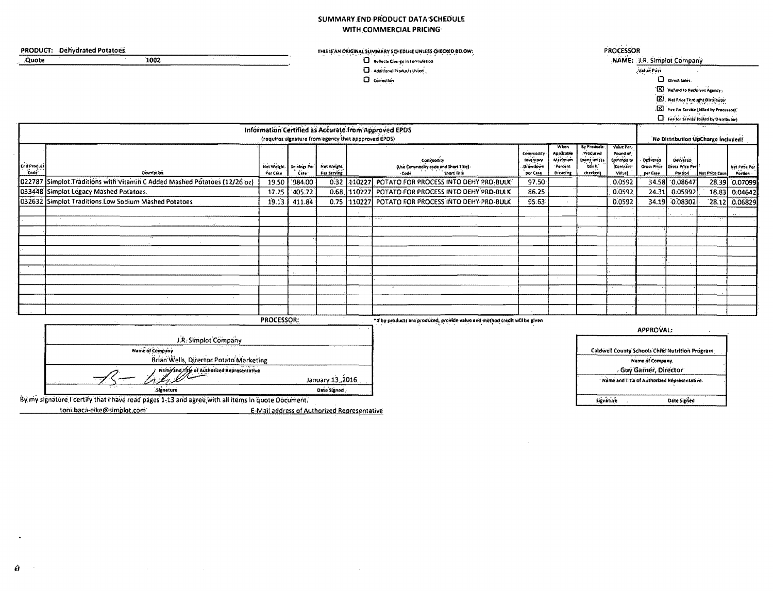## SUMMARY END PRODUCT DATA SCHEDULE WITH COMMERCIAL PRICING

| PRODUCT: Deliydrated Potatoes<br><b>Contract Contract</b> |                                                                           |             |              | THIS IS AN ORIGINAL SUMMARY SCHEDULE UNLESS CHECKED BELOW: |                                 |                                                      |                                    |                                          |                                                         |                                                              |                            | <b>PROCESSOR</b>                                     |                |                          |  |  |  |  |
|-----------------------------------------------------------|---------------------------------------------------------------------------|-------------|--------------|------------------------------------------------------------|---------------------------------|------------------------------------------------------|------------------------------------|------------------------------------------|---------------------------------------------------------|--------------------------------------------------------------|----------------------------|------------------------------------------------------|----------------|--------------------------|--|--|--|--|
| Quote                                                     | 1002                                                                      |             |              | $\Box$ Reflects Change in Formulation                      |                                 |                                                      |                                    |                                          |                                                         |                                                              | NAME: J.R. Simplot Company |                                                      |                |                          |  |  |  |  |
|                                                           |                                                                           |             |              | O                                                          | .<br>Additional Products Listed |                                                      |                                    |                                          | Value Pass                                              |                                                              |                            |                                                      |                |                          |  |  |  |  |
|                                                           |                                                                           |             |              |                                                            |                                 | $\Box$ Correction                                    |                                    |                                          |                                                         |                                                              |                            | <b>D</b> Direct Sales                                |                |                          |  |  |  |  |
|                                                           |                                                                           |             |              |                                                            |                                 |                                                      |                                    |                                          |                                                         |                                                              |                            | [X]. Refund to Recipient Agency:                     |                |                          |  |  |  |  |
|                                                           |                                                                           |             |              |                                                            |                                 |                                                      |                                    |                                          |                                                         |                                                              |                            | $\boxed{\text{ZI}}$ . Net Price Throught Olstributor |                |                          |  |  |  |  |
|                                                           |                                                                           |             |              |                                                            |                                 |                                                      |                                    |                                          |                                                         |                                                              |                            | [X] Fee for Service [billed by Processor]            |                |                          |  |  |  |  |
|                                                           |                                                                           |             |              |                                                            |                                 |                                                      |                                    |                                          |                                                         |                                                              |                            | Dere for Service (byled by Ohierbutor)               |                |                          |  |  |  |  |
|                                                           |                                                                           |             |              |                                                            |                                 | Information Certified as Accurate from Approved EPDS |                                    |                                          |                                                         |                                                              |                            |                                                      |                |                          |  |  |  |  |
|                                                           |                                                                           |             |              | (requires signature from agency that appproved EPDS)       |                                 |                                                      |                                    |                                          |                                                         | No Distribution UpCharge included!                           |                            |                                                      |                |                          |  |  |  |  |
| End Product                                               |                                                                           | Net Weight. | Servings Per | Net Weight<br>Per Serving                                  |                                 | Commodity<br>(Use Commedity code and Short Title)    | Commodity<br>Inventory<br>Drawdown | When<br>Applicable<br>Maximum<br>Percent | By Products<br>Produced<br>trone unless<br><b>box</b> h | Value Per,<br>Pound of<br>Commodit<br>(Contract <sup>+</sup> | . Delivered<br>Gross Price | Delvered<br>Gross Price Per                          |                | Net Price Per<br>Portlan |  |  |  |  |
|                                                           | Description                                                               | Per Crie    | ' Gue        |                                                            |                                 | Short Title<br>Codé                                  | per Case                           | Breading                                 | checked)                                                | (Value)                                                      | per Case                   | Portion                                              | Not Price Case |                          |  |  |  |  |
|                                                           | 022787 Simplot Traditions with Vitamin C Added Mashed Potatoes (12/26 oz) | 19.50       | 984.00       | 0.32                                                       | 110227                          | POTATO FOR PROCESS INTO DEHY PRO-BULK                | 97.50                              |                                          |                                                         | 0.0592                                                       |                            | 34.58 0.08647                                        | 28.39          | 0.07099                  |  |  |  |  |
|                                                           | 033448 Simplot Legacy Mashed Potatoes.                                    | 17.25       | 405.72       |                                                            |                                 | 0.68 110227 POTATO FOR PROCESS INTO DEHY PRD-BULK    | 86.25                              |                                          |                                                         | 0.0592                                                       | 24.31                      | 0.05992                                              | 18.83          | 0:04642                  |  |  |  |  |
|                                                           | 032632 Simplot Traditions Low Sodium Mashed Potatoes                      | 19.13.      | 411.84       |                                                            | $0.75$ 110227                   | POTATO FOR PROCESS INTO DEHY-PRO-BULK                | 95.63                              |                                          |                                                         | 0.0592                                                       | 34.19                      | 0.08302                                              |                | $28.12$ $0.06829$        |  |  |  |  |
|                                                           |                                                                           |             |              |                                                            |                                 | <b>Contractor</b><br>14.00                           |                                    |                                          |                                                         |                                                              |                            |                                                      |                |                          |  |  |  |  |
|                                                           |                                                                           |             |              |                                                            |                                 |                                                      |                                    |                                          |                                                         |                                                              |                            |                                                      |                |                          |  |  |  |  |
|                                                           |                                                                           |             |              |                                                            |                                 |                                                      |                                    |                                          |                                                         |                                                              |                            |                                                      |                |                          |  |  |  |  |
|                                                           |                                                                           |             |              |                                                            |                                 |                                                      |                                    |                                          |                                                         |                                                              |                            |                                                      |                |                          |  |  |  |  |
|                                                           |                                                                           |             |              |                                                            |                                 |                                                      |                                    |                                          |                                                         |                                                              |                            |                                                      |                |                          |  |  |  |  |
|                                                           |                                                                           |             |              |                                                            |                                 |                                                      |                                    |                                          |                                                         |                                                              |                            |                                                      |                |                          |  |  |  |  |
|                                                           |                                                                           |             |              |                                                            |                                 |                                                      |                                    |                                          |                                                         |                                                              |                            |                                                      |                |                          |  |  |  |  |
|                                                           |                                                                           |             |              |                                                            |                                 |                                                      |                                    |                                          |                                                         |                                                              |                            |                                                      |                |                          |  |  |  |  |
|                                                           |                                                                           |             |              |                                                            |                                 |                                                      |                                    |                                          |                                                         |                                                              |                            |                                                      |                |                          |  |  |  |  |
|                                                           |                                                                           |             |              |                                                            |                                 |                                                      |                                    |                                          |                                                         |                                                              |                            |                                                      |                |                          |  |  |  |  |
|                                                           |                                                                           |             |              |                                                            |                                 |                                                      |                                    |                                          |                                                         |                                                              |                            |                                                      |                |                          |  |  |  |  |

| J.R. Simplot Company                        |                  |
|---------------------------------------------|------------------|
| Name of Company                             |                  |
| Brian Wells, Director Potato Marketing      |                  |
| Name and Title of Authorized Representative |                  |
|                                             | January 13, 2016 |
| <b>Signature</b>                            | Date Signed      |

By my signature I certify that I have read pages 1-13 and agree with all items in quote Document. toni:baca-eike@simplot.com E-Mail address of Authorized Representative Caldwell County Schools Child Nutrition Program; Name of Company - Guy Garner, Director Name and Title of Authorized Representative Date Signed Signature

 $\ddot{\phantom{0}}$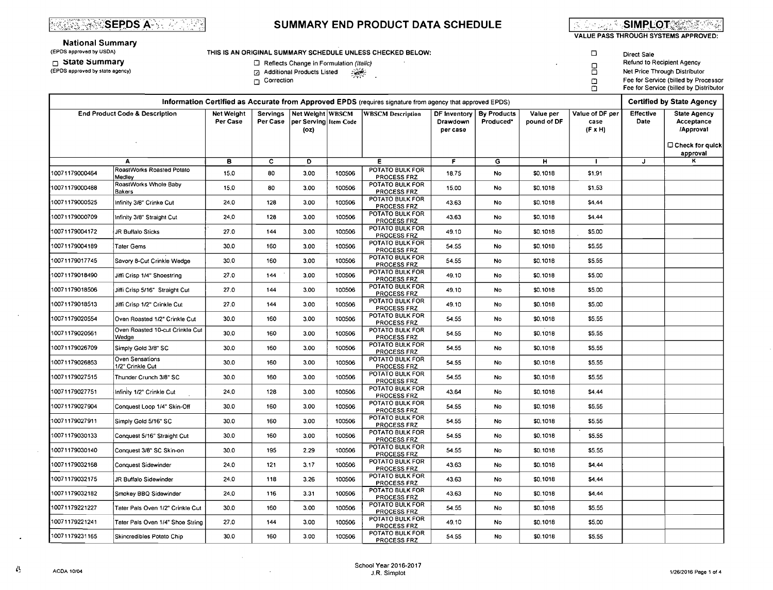**SEPDS AND ARRESTS** 

**National Summary** 

# SUMMARY END PRODUCT DATA SCHEDULE



VALUE PASS THROUGH SYSTEMS APPROVED:

| (EPDS approved by USDA)                                                                                                                                                                                              | THIS IS AN ORIGINAL SUMMARY SCHEDULE UNLESS CHECKED BELOW:<br>D |                        |                      |                                                   |        |                                                                                                          |                                      |                                 |                          |                                           |                   | Direct Sale                                                                                                                                   |  |  |  |  |
|----------------------------------------------------------------------------------------------------------------------------------------------------------------------------------------------------------------------|-----------------------------------------------------------------|------------------------|----------------------|---------------------------------------------------|--------|----------------------------------------------------------------------------------------------------------|--------------------------------------|---------------------------------|--------------------------|-------------------------------------------|-------------------|-----------------------------------------------------------------------------------------------------------------------------------------------|--|--|--|--|
| $\Box$ State Summary<br>$\Box$ Reflects Change in Formulation (Italic)<br>$\Box$<br>(EPDS approved by state agency)<br><b>D</b> Additional Products Listed<br>$\frac{1}{\sqrt{2}}$<br>▫<br>Correction<br>$\Box$<br>α |                                                                 |                        |                      |                                                   |        |                                                                                                          |                                      |                                 |                          |                                           |                   | Refund to Recipient Agency<br>Net Price Through Distributor<br>Fee for Service (billed by Processor<br>Fee for Service (billed by Distributor |  |  |  |  |
|                                                                                                                                                                                                                      |                                                                 |                        |                      |                                                   |        | Information Certified as Accurate from Approved EPDS (requires signature from agency that approved EPDS) |                                      |                                 |                          |                                           |                   | <b>Certified by State Agency</b>                                                                                                              |  |  |  |  |
| <b>End Product Code &amp; Description</b>                                                                                                                                                                            |                                                                 | Net Weight<br>Per Case | Servings<br>Per Case | Net Weight WBSCM<br>per Serving Item Code<br>(oz) |        | <b>WBSCM Description</b>                                                                                 | DF Inventory<br>Drawdown<br>per case | <b>By Products</b><br>Produced* | Value per<br>pound of DF | Value of DF per<br>case<br>$(F \times H)$ | Effective<br>Date | <b>State Agency</b><br>Acceptance<br><b>/Approval</b>                                                                                         |  |  |  |  |
|                                                                                                                                                                                                                      |                                                                 |                        |                      |                                                   |        |                                                                                                          |                                      |                                 |                          |                                           |                   | □ Check for quick<br>approval                                                                                                                 |  |  |  |  |
|                                                                                                                                                                                                                      | A                                                               | в                      | $\overline{c}$       | Þ                                                 |        | Е                                                                                                        | F.                                   | G                               | н.                       | $\mathbf{I}$                              | J                 | κ                                                                                                                                             |  |  |  |  |
| 10071179000464                                                                                                                                                                                                       | RoastWorks Roasted Potato<br>Medley                             | 15.0                   | 80                   | 3,00                                              | 100506 | POTATO BULK FOR<br><b>PROCESS FRZ</b>                                                                    | 18.75                                | No                              | \$0.1018                 | \$1.91                                    |                   |                                                                                                                                               |  |  |  |  |
| 10071179000488                                                                                                                                                                                                       | RoastWorks Whole Baby<br>Baxers                                 | 15.0                   | 80                   | 3.00                                              | 100506 | POTATO BULK FOR<br>PROCESS FRZ                                                                           | 15.00                                | <b>No</b>                       | \$0.1018                 | \$1.53                                    |                   |                                                                                                                                               |  |  |  |  |
| 10071179000525                                                                                                                                                                                                       | Infinity 3/8" Crinke Cut                                        | 24.0                   | 128                  | 3,00                                              | 100506 | POTATO BULK FOR<br><b>PROCESS FRZ</b>                                                                    | 43.63                                | <b>No</b>                       | \$0.1018                 | \$4.44                                    |                   |                                                                                                                                               |  |  |  |  |
| 10071179000709                                                                                                                                                                                                       | Infinity 3/8" Straight Cut                                      | 24.0                   | 128                  | 3.00                                              | 100506 | POTATO BULK FOR<br>PROCESS FRZ                                                                           | 43.63                                | No                              | \$0,1018                 | \$4.44                                    |                   |                                                                                                                                               |  |  |  |  |
| 10071179004172                                                                                                                                                                                                       | JR Buffalo Sticks                                               | 27.0                   | 144                  | 3,00                                              | 100506 | POTATO BULK FOR<br>PROCESS FRZ                                                                           | 49.10                                | No                              | \$0.1018                 | \$5.00                                    |                   |                                                                                                                                               |  |  |  |  |
| 10071179004189                                                                                                                                                                                                       | <b>Tater Gems</b>                                               | 30.0                   | 160                  | 3.00                                              | 100506 | POTATO BULK FOR<br><b>PROCESS FRZ</b>                                                                    | 54.55                                | No                              | \$0,1018                 | \$5.55                                    |                   |                                                                                                                                               |  |  |  |  |
| 10071179017745                                                                                                                                                                                                       | Savory 8-Cut Crinkle Wedge                                      | 30.0                   | 160                  | 3.00                                              | 100506 | POTATO BULK FOR<br>PROCESS FRZ                                                                           | 54.55                                | <b>No</b>                       | \$0.1018                 | \$5.55                                    |                   |                                                                                                                                               |  |  |  |  |
| 10071179018490                                                                                                                                                                                                       | Jiffi Crisp 1/4" Shoestring                                     | 27.0                   | 144                  | 3.00                                              | 100506 | POTATO BULK FOR<br><b>PROCESS FRZ</b>                                                                    | 49.10                                | No                              | \$0.1018                 | \$5.00                                    |                   |                                                                                                                                               |  |  |  |  |
| 10071179018506                                                                                                                                                                                                       | Jiffi Crisp 5/16" Straight Cut                                  | 27.0                   | 144                  | 3.00                                              | 100506 | POTATO BULK FOR<br>PROCESS FRZ                                                                           | 49.10                                | No                              | \$0.1018                 | \$5.00                                    |                   |                                                                                                                                               |  |  |  |  |
| 10071179018513                                                                                                                                                                                                       | Jiffi Crisp 1/2" Crinkle Cut                                    | 27.0                   | 144                  | 3.00                                              | 100506 | POTATO BULK FOR<br>PROCESS FRZ                                                                           | 49.10                                | No                              | \$0.1018                 | \$5.00                                    |                   |                                                                                                                                               |  |  |  |  |
| 10071179020554                                                                                                                                                                                                       | Oven Roasted 1/2" Crinkle Cut                                   | 30.0                   | 160                  | 3.00                                              | 100506 | POTATO BULK FOR<br><b>PROCESS FRZ</b>                                                                    | 54.55                                | No                              | \$0,1018                 | \$5.55                                    |                   |                                                                                                                                               |  |  |  |  |
| 10071179020561                                                                                                                                                                                                       | Oven Roasted 10-cut Crinkle Cut<br>Wedge                        | 30.0                   | 160                  | 3.00                                              | 100506 | POTATO BULK FOR<br>PROCESS FRZ                                                                           | 54.55                                | No                              | \$0.1018                 | \$5.55                                    |                   |                                                                                                                                               |  |  |  |  |
| 10071179026709                                                                                                                                                                                                       | Simply Gold 3/8" SC                                             | 30.0                   | 160                  | 3.00                                              | 100506 | POTATO BULK FOR<br><b>PROCESS FRZ</b>                                                                    | 54.55                                | <b>No</b>                       | \$0.1018                 | \$5.55                                    |                   |                                                                                                                                               |  |  |  |  |
| 10071179026853                                                                                                                                                                                                       | Oven Sensations<br>1/2" Crinkle Cut                             | 30.0                   | 160                  | 3.00                                              | 100506 | POTATO BULK FOR<br>PROCESS FRZ                                                                           | 54.55                                | <b>No</b>                       | \$0.1018                 | \$5.55                                    |                   |                                                                                                                                               |  |  |  |  |
| 10071179027515                                                                                                                                                                                                       | Thunder Crunch 3/8" SC                                          | 30.0                   | 160                  | 3.00                                              | 100506 | POTATO BULK FOR<br><b>PROCESS FRZ</b>                                                                    | 54.55                                | No                              | \$0.1018                 | \$5.55                                    |                   |                                                                                                                                               |  |  |  |  |
| 10071179027751                                                                                                                                                                                                       | Infinity 1/2" Crinkle Cut                                       | 24.0                   | 128                  | 3.00                                              | 100506 | POTATO BULK FOR<br>PROCESS FRZ                                                                           | 43.64                                | <b>No</b>                       | \$0.1018                 | \$4.44                                    |                   |                                                                                                                                               |  |  |  |  |
| 10071179027904                                                                                                                                                                                                       | Conquest Loop 1/4" Skin-Off                                     | 30.0                   | 160                  | 3.00                                              | 100506 | POTATO BULK FOR<br>PROCESS FRZ                                                                           | 54.55                                | <b>No</b>                       | \$0,1018                 | \$5.55                                    |                   |                                                                                                                                               |  |  |  |  |
| 10071179027911                                                                                                                                                                                                       | Simply Gold 5/16" SC                                            | 30.0                   | 160                  | 3.00                                              | 100506 | POTATO BULK FOR<br>PROCESS FRZ                                                                           | 54.55                                | No                              | \$0.1018                 | \$5.55                                    |                   |                                                                                                                                               |  |  |  |  |
| 10071179030133                                                                                                                                                                                                       | Conquest 5/16" Straight Cut                                     | 30.0                   | 160                  | 3.00                                              | 100506 | POTATO BULK FOR<br><b>PROCESS FRZ</b>                                                                    | 54.55                                | No                              | \$0,1018                 | \$5.55                                    |                   |                                                                                                                                               |  |  |  |  |
| 10071179030140                                                                                                                                                                                                       | Conquest 3/8" SC Skin-on                                        | 30.0                   | 195                  | 2.29                                              | 100506 | POTATO BULK FOR<br>PROCESS FRZ                                                                           | 54.55                                | No                              | \$0.1018                 | \$5.55                                    |                   |                                                                                                                                               |  |  |  |  |
| 10071179032168                                                                                                                                                                                                       | Conquest Sidewinder                                             | 24.0                   | 121                  | 3.17                                              | 100506 | POTATO BULK FOR<br>PROCESS FRZ                                                                           | 43.63                                | No                              | \$0.1018                 | \$4,44                                    |                   |                                                                                                                                               |  |  |  |  |
| 10071179032175                                                                                                                                                                                                       | JR Buffalo Sidewinder                                           | 24.0                   | 118                  | 3.26                                              | 100506 | POTATO BULK FOR<br><b>PROCESS FRZ</b>                                                                    | 43.63                                | No                              | \$0,1018                 | \$4.44                                    |                   |                                                                                                                                               |  |  |  |  |
| 10071179032182                                                                                                                                                                                                       | Smokey BBQ Sidewinder                                           | 24.0                   | 116                  | 3.31                                              | 100506 | POTATO BULK FOR<br>PROCESS FRZ                                                                           | 43.63                                | No                              | \$0.1018                 | \$4,44                                    |                   |                                                                                                                                               |  |  |  |  |

**ACDA 10/04** 

菇

10071179221227

10071179221241

10071179231165

Skincredibles Potato Chip

Tater Pals Oven 1/2" Crinkle Cut

Tater Pals Oven 1/4" Shoe String

30.0

27.0

 $30.0$ 

 $\sim$ 

160

144

160

 $3.00$ 

3.00

 $3.00$ 

100506

100506

100506

 $\sim$ 

 $\mathcal{A}$ 

POTATO BULK FOR

**PROCESS FRZ** POTATO BULK FOR

PROCESS FRZ POTATO BULK FOR

**PROCESS FRZ** 

54.55

49.10

54.55

**No** 

 $No$ 

No

\$0.1018

\$0.1018

\$0.1018

\$5.55

\$5.00

\$5.55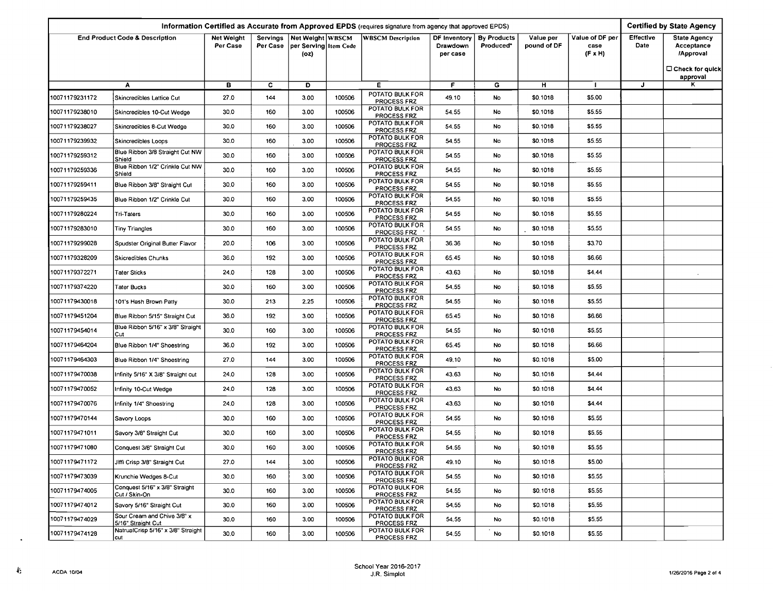| Information Certified as Accurate from Approved EPDS (requires signature from agency that approved EPDS) |                                                   |                               |                      |                                                   |        |                                       |                                      |                                 |                          |                                           |                   | <b>Certified by State Agency</b>                      |  |  |
|----------------------------------------------------------------------------------------------------------|---------------------------------------------------|-------------------------------|----------------------|---------------------------------------------------|--------|---------------------------------------|--------------------------------------|---------------------------------|--------------------------|-------------------------------------------|-------------------|-------------------------------------------------------|--|--|
|                                                                                                          | <b>End Product Code &amp; Description</b>         | <b>Net Weight</b><br>Per Case | Servings<br>Per Case | Net Weight WBSCM<br>per Serving Item Code<br>(oz) |        | <b>WBSCM Description</b>              | DF Inventory<br>Drawdown<br>per case | <b>By Products</b><br>Produced* | Value per<br>pound of DF | Value of DF per<br>case<br>$(F \times H)$ | Effective<br>Date | <b>State Agency</b><br>Acceptance<br><b>/Approval</b> |  |  |
|                                                                                                          |                                                   |                               |                      |                                                   |        |                                       |                                      |                                 |                          |                                           |                   | $\square$ Check for quick<br>approval                 |  |  |
|                                                                                                          | A                                                 | в                             | c                    | D                                                 |        | Е                                     | F                                    | G                               | н                        | -1                                        | J.                | к                                                     |  |  |
| 10071179231172                                                                                           | Skincredibles Lattice Cut                         | 27.0                          | 144                  | 3.00                                              | 100506 | POTATO BULK FOR<br>PROCESS FRZ        | 49.10                                | No                              | \$0.1018                 | \$5.00                                    |                   |                                                       |  |  |
| 10071179238010                                                                                           | Skincredibles 10-Cut Wedge                        | 30.0                          | 160                  | 3.00                                              | 100506 | POTATO BULK FOR<br>PROCESS FRZ        | 54.55                                | No                              | \$0,1018                 | \$5.55                                    |                   |                                                       |  |  |
| 10071179238027                                                                                           | Skincredibles 8-Cut Wedge                         | 30.0                          | 160                  | 3.00                                              | 100506 | POTATO BULK FOR<br>PROCESS FRZ        | 54.55                                | No                              | \$0.1018                 | \$5.55                                    |                   |                                                       |  |  |
| 10071179239932                                                                                           | Skincredibles Loops                               | 30.0                          | 160                  | 3.00                                              | 100506 | POTATO BULK FOR<br><b>PROCESS FRZ</b> | 54.55                                | No                              | \$0.1018                 | \$5.55                                    |                   |                                                       |  |  |
| 10071179259312                                                                                           | Blue Ribbon 3/8 Straight Cut NW<br>Shield         | 30.0                          | 160                  | 3.00                                              | 100506 | POTATO BULK FOR<br>PROCESS FRZ        | 54.55                                | No                              | \$0.1018                 | \$5.55                                    |                   |                                                       |  |  |
| 10071179259336                                                                                           | Blue Ribbon 1/2" Crinkle Cut NW<br>Shield         | 30.0                          | 160                  | 3.00                                              | 100506 | POTATO BULK FOR<br><b>PROCESS FRZ</b> | 54,55                                | No                              | \$0,1018                 | \$5.55                                    |                   |                                                       |  |  |
| 10071179259411                                                                                           | Blue Ribbon 3/8" Straight Cut                     | 30.0                          | 160                  | 3.00                                              | 100506 | POTATO BULK FOR<br><b>PROCESS FRZ</b> | 54.55                                | No                              | \$0.1018                 | \$5.55                                    |                   |                                                       |  |  |
| 10071179259435                                                                                           | Blue Ribbon 1/2" Crinkle Cut                      | 30.0                          | 160                  | 3,00                                              | 100506 | POTATO BULK FOR<br><b>PROCESS FRZ</b> | 54,55                                | No                              | \$0.1018                 | \$5.55                                    |                   |                                                       |  |  |
| 10071179280224                                                                                           | <b>Tri-Taters</b>                                 | 30,0                          | 160                  | 3.00                                              | 100506 | POTATO BULK FOR<br>PROCESS FRZ        | 54.55                                | No                              | \$0.1018                 | \$5.55                                    |                   |                                                       |  |  |
| 10071179283010                                                                                           | <b>Tiny Triangles</b>                             | 30.0                          | 160                  | 3,00                                              | 100506 | POTATO BULK FOR<br><b>PROCESS FRZ</b> | 54.55                                | No                              | \$0,1018                 | \$5.55                                    |                   |                                                       |  |  |
| 10071179299028                                                                                           | Spudster Original Butter Flavor                   | 20.0                          | 106                  | 3.00                                              | 100506 | POTATO BULK FOR<br><b>PROCESS FRZ</b> | 36.36                                | No                              | \$0.1018                 | \$3.70                                    |                   |                                                       |  |  |
| 10071179328209                                                                                           | Skicredibles Chunks                               | 36,0                          | 192                  | 3.00                                              | 100506 | POTATO BULK FOR<br>PROCESS FRZ        | 65.45                                | No                              | \$0.1018                 | \$6.66                                    |                   |                                                       |  |  |
| 10071179372271                                                                                           | <b>Tater Sticks</b>                               | 24.0                          | 128                  | 3.00                                              | 100506 | POTATO BULK FOR<br><b>PROCESS FRZ</b> | 43.63                                | No                              | \$0,1018                 | \$4.44                                    |                   |                                                       |  |  |
| 10071179374220                                                                                           | <b>Tater Bucks</b>                                | 30.0                          | 160                  | 3.00                                              | 100506 | POTATO BULK FOR<br><b>PROCESS FRZ</b> | 54,55                                | No                              | \$0,1018                 | \$5.55                                    |                   |                                                       |  |  |
| 10071179430018                                                                                           | 101's Hash Brown Patty                            | 30.0                          | 213                  | 2,25                                              | 100506 | POTATO BULK FOR<br><b>PROCESS FRZ</b> | 54,55                                | No                              | \$0.1018                 | \$5.55                                    |                   |                                                       |  |  |
| 10071179451204                                                                                           | Blue Ribbon 5/15" Straight Cut                    | 36.0                          | 192                  | 3,00                                              | 100506 | POTATO BULK FOR<br>PROCESS FRZ        | 65.45                                | No                              | \$0.1018                 | \$6,66                                    |                   |                                                       |  |  |
| 10071179454014                                                                                           | Blue Ribbon 5/16" x 3/8" Straight<br>Cut          | 30.0                          | 160                  | 3.00                                              | 100506 | POTATO BULK FOR<br>PROCESS FRZ        | 54.55                                | No                              | \$0.1018                 | \$5.55                                    |                   |                                                       |  |  |
| 10071179464204                                                                                           | Blue Ribbon 1/4" Shoestring                       | 36.0                          | 192                  | 3.00                                              | 100506 | POTATO BULK FOR<br>PROCESS FRZ        | 65.45                                | No                              | \$0.1018                 | \$6.66                                    |                   |                                                       |  |  |
| 10071179464303                                                                                           | Blue Ribbon 1/4" Shoestring                       | 27.0                          | 144                  | 3.00                                              | 100506 | POTATO BULK FOR<br><b>PROCESS FRZ</b> | 49.10                                | No                              | \$0.1018                 | \$5,00                                    |                   |                                                       |  |  |
| 10071179470038                                                                                           | Infinity 5/16" X 3/8" Straight cut                | 24.0                          | 128                  | 3.00                                              | 100506 | POTATO BULK FOR<br>PROCESS FRZ        | 43.63                                | No                              | \$0,1018                 | \$4.44                                    |                   |                                                       |  |  |
| 10071179470052                                                                                           | Infinity 10-Cut Wedge                             | 24.0                          | 128                  | 3.00                                              | 100506 | POTATO BULK FOR<br><b>PROCESS FRZ</b> | 43.63                                | No                              | \$0.1018                 | \$4.44                                    |                   |                                                       |  |  |
| 10071179470076                                                                                           | Infinity 1/4" Shoestring                          | 24.0                          | 128                  | 3.00                                              | 100506 | POTATO BULK FOR<br>PROCESS FRZ        | 43,63                                | No                              | \$0.1018                 | \$4.44                                    |                   |                                                       |  |  |
| 10071179470144                                                                                           | Savory Loops                                      | 30.0                          | 160                  | 3.00                                              | 100506 | POTATO BULK FOR<br>PROCESS FRZ        | 54.55                                | No                              | \$0.1018                 | \$5.55                                    |                   |                                                       |  |  |
| 10071179471011                                                                                           | Savory 3/8" Straight Cut                          | 30.0                          | 160                  | 3.00                                              | 100506 | POTATO BULK FOR<br><b>PROCESS FRZ</b> | 54.55                                | No                              | \$0.1018                 | \$5.55                                    |                   |                                                       |  |  |
| 10071179471080                                                                                           | Conquest 3/8" Straight Cut                        | 30.0                          | 160                  | 3.00                                              | 100506 | POTATO BULK FOR<br>PROCESS FRZ        | 54.55                                | No                              | \$0.1018                 | \$5.55                                    |                   |                                                       |  |  |
| 10071179471172                                                                                           | Jiffi Crisp 3/8" Straight Cut                     | 27.0                          | 144                  | 3.00                                              | 100506 | POTATO BULK FOR<br>PROCESS FRZ        | 49.10                                | No                              | \$0.1018                 | \$5.00                                    |                   |                                                       |  |  |
| 10071179473039                                                                                           | Krunchie Wedges 8-Cut                             | 30.0                          | 160                  | 3.00                                              | 100506 | POTATO BULK FOR<br>PROCESS FRZ        | 54.55                                | No                              | \$0.1018                 | \$5.55                                    |                   |                                                       |  |  |
| 10071179474005                                                                                           | Conquest 5/16" x 3/8" Straight<br>Cut / Skin-On   | 30.0                          | 160                  | 3.00                                              | 100506 | POTATO BULK FOR<br>PROCESS FRZ        | 54.55                                | No                              | \$0.1018                 | \$5.55                                    |                   |                                                       |  |  |
| 10071179474012                                                                                           | Savory 5/16" Straight Cut                         | 30.0                          | 160                  | 3.00                                              | 100506 | POTATO BULK FOR<br><b>PROCESS FRZ</b> | 54,55                                | No                              | \$0.1018                 | \$5.55                                    |                   |                                                       |  |  |
| 10071179474029                                                                                           | Sour Cream and Chive 3/8" x<br>5/16" Straight Cut | 30,0                          | 160                  | 3,00                                              | 100506 | POTATO BULK FOR<br>PROCESS FRZ        | 54,55                                | No                              | \$0.1018                 | \$5.55                                    |                   |                                                       |  |  |
| 10071179474128                                                                                           | NatrualCrisp 5/16" x 3/8" Straight<br>cut         | 30.0                          | 160                  | 3,00                                              | 100506 | POTATO BULK FOR<br>PROCESS FRZ        | 54.55                                | <b>No</b>                       | \$0.1018                 | \$5.55                                    |                   |                                                       |  |  |

 $\ddot{\phantom{a}}$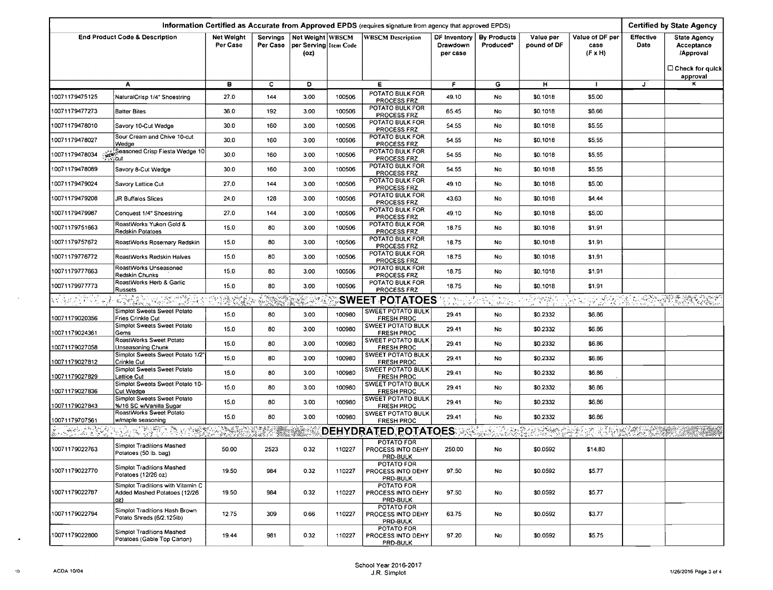| Information Certified as Accurate from Approved EPDS (requires signature from agency that approved EPDS) |                                                                           |                        |                      |                                                      |        |                                                  |                                      |                                 |                          |                                    | <b>Certified by State Agency</b> |                                                       |  |
|----------------------------------------------------------------------------------------------------------|---------------------------------------------------------------------------|------------------------|----------------------|------------------------------------------------------|--------|--------------------------------------------------|--------------------------------------|---------------------------------|--------------------------|------------------------------------|----------------------------------|-------------------------------------------------------|--|
|                                                                                                          | <b>End Product Code &amp; Description</b>                                 | Net Weight<br>Per Case | Servings<br>Per Case | Net Weight   WBSCM <br>per Serving Item Code<br>(oz) |        | <b>WBSCM Description</b>                         | DF Inventory<br>Drawdown<br>per case | <b>By Products</b><br>Produced* | Value per<br>pound of DF | Value of DF per<br>case<br>(F x H) | Effective<br>Date                | <b>State Agency</b><br>Acceptance<br><b>/Approval</b> |  |
|                                                                                                          |                                                                           |                        |                      |                                                      |        |                                                  |                                      |                                 |                          |                                    |                                  | $\Box$ Check for quick<br>approval                    |  |
|                                                                                                          | A                                                                         | в                      | с                    | D                                                    |        | Е                                                | F.                                   | G                               | н                        |                                    | J                                | κ                                                     |  |
| 10071179475125                                                                                           | NaturalCrisp 1/4" Shoestring                                              | 27.0                   | 144                  | 3.00                                                 | 100506 | POTATO BULK FOR<br><b>PROCESS FRZ</b>            | 49.10                                | No                              | \$0.1018                 | \$5.00                             |                                  |                                                       |  |
| 10071179477273                                                                                           | Batter Bites                                                              | 36.0                   | 192                  | 3.00                                                 | 100506 | POTATO BULK FOR<br><b>PROCESS FRZ</b>            | 65.45                                | No                              | \$0,1018                 | \$6,66                             |                                  |                                                       |  |
| 10071179478010                                                                                           | Savory 10-Cut Wedge                                                       | 30.0                   | 160                  | 3.00                                                 | 100506 | POTATO BULK FOR<br><b>PROCESS FRZ</b>            | 54.55                                | No                              | \$0.1018                 | \$5.55                             |                                  |                                                       |  |
| 10071179478027                                                                                           | Sour Cream and Chive 10-cut<br>Wedge                                      | 30,0                   | 160                  | 3.00                                                 | 100506 | POTATO BULK FOR<br>PROCESS FRZ                   | 54.55                                | No                              | \$0,1018                 | \$5.55                             |                                  |                                                       |  |
|                                                                                                          | l<br>10071179478034 अधिकामी Seasoned Crisp Fiesta Wedge 10                | 30.0                   | 160                  | 3.00                                                 | 100506 | POTATO BULK FOR<br><b>PROCESS FRZ</b>            | 54.55                                | No                              | \$0.1018                 | \$5.55                             |                                  |                                                       |  |
| 10071179478089                                                                                           | Savory 8-Cut Wedge                                                        | 30.0                   | 160                  | 3.00                                                 | 100506 | POTATO BULK FOR<br><b>PROCESS FRZ</b>            | 54.55                                | No                              | \$0.1018                 | \$5.55                             |                                  |                                                       |  |
| 10071179479024                                                                                           | Savory Lattice Cut                                                        | 27.0                   | 144                  | 3.00                                                 | 100506 | POTATO BULK FOR<br><b>PROCESS FRZ</b>            | 49.10                                | No                              | \$0,1018                 | \$5,00                             |                                  |                                                       |  |
| 10071179479208                                                                                           | JR Buffalos Slices                                                        | 24.0                   | 128                  | 3.00                                                 | 100506 | POTATO BULK FOR<br>PROCESS FRZ                   | 43.63                                | No                              | \$0.1018                 | \$4.44                             |                                  |                                                       |  |
| 10071179479987                                                                                           | Conquest 1/4" Shoestring                                                  | 27.0                   | 144                  | 3.00                                                 | 100506 | POTATO BULK FOR<br><b>PROCESS FRZ</b>            | 49.10                                | No                              | \$0.1018                 | \$5,00                             |                                  |                                                       |  |
| 10071179751663                                                                                           | RoastWorks Yukon Gold &<br>Redskin Potatoes                               | 15.0                   | 80                   | 3.00                                                 | 100506 | POTATO BULK FOR<br><b>PROCESS FRZ</b>            | 18.75                                | No                              | \$0.1018                 | \$1.91                             |                                  |                                                       |  |
| 10071179757672                                                                                           | RoastWorks Rosemary Redskin                                               | 15.0                   | 80                   | 3.00                                                 | 100506 | POTATO BULK FOR<br><b>PROCESS FRZ</b>            | 18.75                                | No                              | \$0,1018                 | \$1.91                             |                                  |                                                       |  |
| 10071179776772                                                                                           | RoastWorks Redskin Halves                                                 | 15.0                   | 80                   | 3.00                                                 | 100506 | POTATO BULK FOR<br><b>PROCESS FRZ</b>            | 18.75                                | No                              | \$0,1018                 | \$1.91                             |                                  |                                                       |  |
| 10071179777663                                                                                           | RoastWorks Unseasoned<br>Redskin Chunks                                   | 15,0                   | 80                   | 3.00                                                 | 100506 | POTATO BULK FOR<br><b>PROCESS FRZ</b>            | 18.75                                | No                              | \$0,1018                 | \$1.91                             |                                  |                                                       |  |
| 10071179977773                                                                                           | RoastWorks Herb & Garlic<br>Russets                                       | 15.0                   | 80                   | 3.00                                                 | 100506 | POTATO BULK FOR<br>PROCESS FRZ                   | 18.75                                | No                              | \$0.1018                 | \$1.91                             |                                  |                                                       |  |
| 医阿德菲氏疗疗法 化                                                                                               | SAANSATION PARTIES MARTING                                                |                        |                      |                                                      |        | <b>SWEET POTATOES</b>                            |                                      | CANAS RESERV                    | imë Av                   |                                    |                                  | 1. 化铁酸氢化铁酸铁镁酸盐                                        |  |
| 10071179020356                                                                                           | Simplot Sweets Sweet Potato<br>Fries Crinkle Cut                          | 15.0                   | 80                   | 3.00                                                 | 100980 | SWEET POTATO BULK<br><b>FRESH PROC</b>           | 29.41                                | <b>No</b>                       | \$0.2332                 | \$6.86                             |                                  |                                                       |  |
| 10071179024361                                                                                           | Simplot Sweets Sweet Potato<br>Gems                                       | 15.0                   | 80                   | 3.00                                                 | 100980 | <b>SWEET POTATO BULK</b><br><b>FRESH PROC</b>    | 29.41                                | <b>No</b>                       | \$0.2332                 | \$6.86                             |                                  |                                                       |  |
| 10071179027058                                                                                           | RoastWorks Sweet Potato<br>Unseasoning Chunk                              | 15.0                   | 80                   | 3.00                                                 | 100980 | <b>SWEET POTATO BULK</b><br><b>FRESH PROC</b>    | 29.41                                | No                              | \$0.2332                 | \$6.86                             |                                  |                                                       |  |
| 10071179027812                                                                                           | Simplot Sweets Sweet Potato 1/2"<br>Crinkle Cut                           | 15.0                   | 80                   | 3.00                                                 | 100980 | <b>SWEET POTATO BULK</b><br><b>FRESH PROC</b>    | 29.41                                | <b>No</b>                       | \$0.2332                 | \$6.86                             |                                  |                                                       |  |
| 10071179027829                                                                                           | Simplot Sweets Sweet Potato<br>Lattice Cut                                | 15.0                   | 80                   | 3.00                                                 | 100980 | <b>SWEET POTATO BULK</b><br><b>FRESH PROC</b>    | 29.41                                | No                              | \$0.2332                 | \$6.86                             |                                  |                                                       |  |
| 10071179027836                                                                                           | Simplot Sweets Sweet Potato 10-<br>Cut Wedge                              | 15.0                   | 80                   | 3.00                                                 | 100980 | SWEET POTATO BULK<br><b>FRESH PROC</b>           | 29.41                                | <b>No</b>                       | \$0.2332                 | \$6.86                             |                                  |                                                       |  |
| 10071179027843                                                                                           | Simplot Sweets Sweet Potato<br>%/16 SC w/Vanilla Sugar                    | 15,0                   | 80                   | 3.00                                                 | 100980 | <b>SWEET POTATO BULK</b><br><b>FRESH PROC</b>    | 29.41                                | No                              | \$0.2332                 | \$6,86                             |                                  |                                                       |  |
| 10071179707561                                                                                           | RoastWorks Sweet Potato<br>w/maple seasoning                              | 15.0                   | 80                   | 3.00                                                 | 100980 | <b>SWEET POTATO BULK</b><br><b>FRESH PROC</b>    | 29.41                                | No                              | \$0.2332                 | \$6.86                             |                                  |                                                       |  |
| E ANDERSON                                                                                               |                                                                           |                        |                      |                                                      |        | <b>DEHYDRATED POTATOES</b> AND A CONSIDERED MAIL |                                      |                                 |                          |                                    |                                  | SAN SEKARANG KANADANG KA                              |  |
| 10071179022763                                                                                           | Simplot Traditions Mashed<br>Potatoes (50 lb. bag)                        | 50.00                  | 2523                 | 0.32                                                 | 110227 | POTATO FOR<br>PROCESS INTO DEHY<br>PRD-BULK      | 250.00                               | <b>No</b>                       | \$0.0592                 | \$14.80                            |                                  |                                                       |  |
| 10071179022770                                                                                           | Simplot Traditions Mashed<br>Potatoes (12/26 oz)                          | 19.50                  | 984                  | 0.32                                                 | 110227 | POTATO FOR<br>PROCESS INTO DEHY<br>PRD-BULK      | 97.50                                | No                              | \$0.0592                 | \$5.77                             |                                  |                                                       |  |
| 10071179022787                                                                                           | Simplot Traditions with Vitamin C<br>Added Mashed Potatoes (12/26<br>oz). | 19.50                  | 984                  | 0.32                                                 | 110227 | POTATO FOR<br>PROCESS INTO DEHY<br>PRD-BULK      | 97.50                                | No                              | \$0.0592                 | \$5.77                             |                                  |                                                       |  |
| 10071179022794                                                                                           | Simplot Traditions Hash Brown<br>Potato Shreds (6/2.125ib)                | 12.75                  | 309                  | 0.66                                                 | 110227 | POTATO FOR<br>PROCESS INTO DEHY<br>PRD-BULK      | 63.75                                | No                              | \$0.0592                 | \$3.77                             |                                  |                                                       |  |
| 10071179022800                                                                                           | Simplot Traditions Mashed<br>Potatoes (Gable Top Carton)                  | 19.44                  | 981                  | 0.32                                                 | 110227 | POTATO FOR<br>PROCESS INTO DEHY<br>PRD-BULK      | 97.20                                | No                              | \$0.0592                 | \$5.75                             |                                  |                                                       |  |

 $\bullet$ 

 $\mathcal{A}^{\mathcal{A}}$ 

 $\sim$